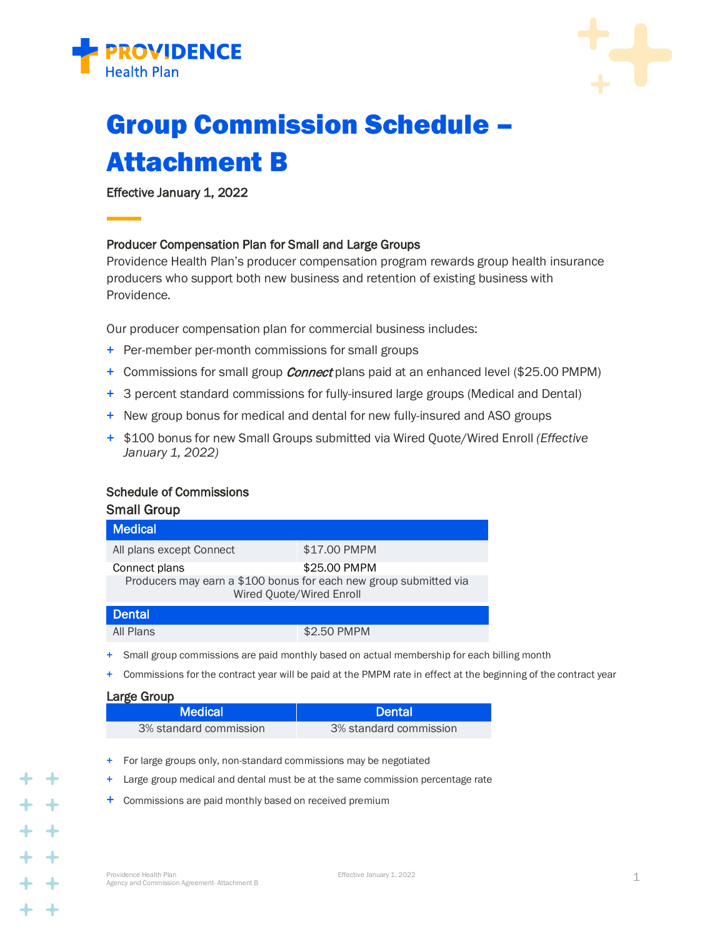



# Group Commission Schedule – Attachment B

Effective January 1, 2022

## Producer Compensation Plan for Small and Large Groups

Providence Health Plan's producer compensation program rewards group health insurance producers who support both new business and retention of existing business with Providence.

Our producer compensation plan for commercial business includes:

- + Per-member per-month commissions for small groups
- + Commissions for small group *Connect* plans paid at an enhanced level (\$25.00 PMPM)
- + 3 percent standard commissions for fully-insured large groups (Medical and Dental)
- + New group bonus for medical and dental for new fully-insured and ASO groups
- + \$100 bonus for new Small Groups submitted via Wired Quote/Wired Enroll *(Effective January 1, 2022)*

## Schedule of Commissions

| <b>Small Group</b>                                                                            |              |  |
|-----------------------------------------------------------------------------------------------|--------------|--|
| <b>Medical</b>                                                                                |              |  |
| All plans except Connect                                                                      | \$17.00 PMPM |  |
| Connect plans                                                                                 | \$25.00 PMPM |  |
| Producers may earn a \$100 bonus for each new group submitted via<br>Wired Quote/Wired Enroll |              |  |
| <b>Dental</b>                                                                                 |              |  |
| All Plans                                                                                     | \$2.50 PMPM  |  |

- + Small group commissions are paid monthly based on actual membership for each billing month
- + Commissions for the contract year will be paid at the PMPM rate in effect at the beginning of the contract year

### Large Group

| Medical <b>N</b>       | <b>Dental</b>          |
|------------------------|------------------------|
| 3% standard commission | 3% standard commission |

- + For large groups only, non-standard commissions may be negotiated
- + Large group medical and dental must be at the same commission percentage rate
- + Commissions are paid monthly based on received premium